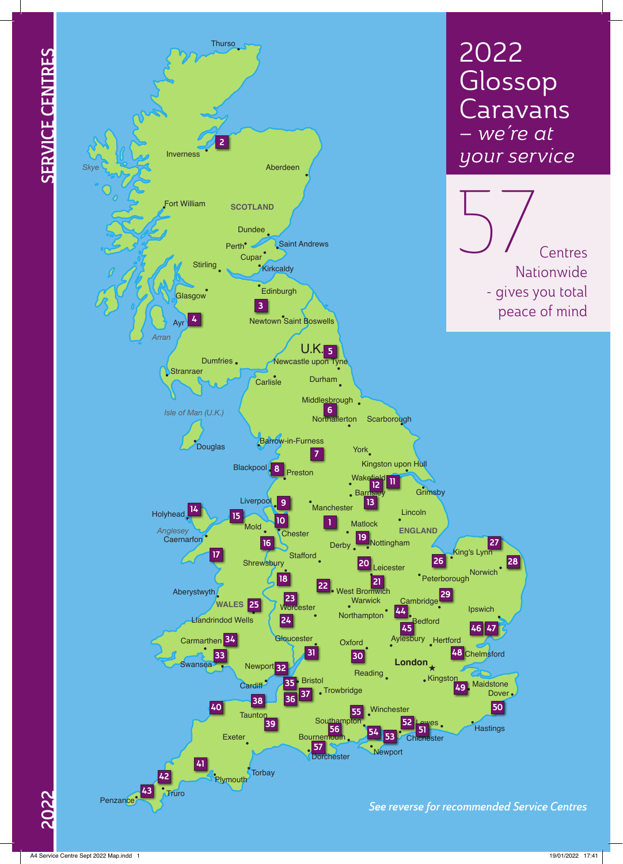



2022